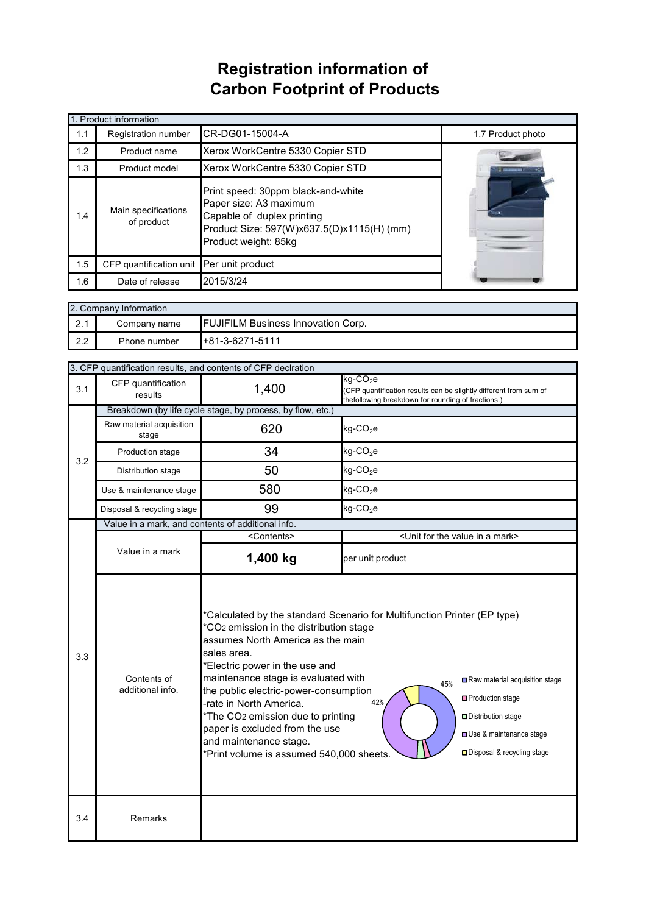## **Registration information of Carbon Footprint of Products**

| 1. Product information |                                                                                                                                                                                                       |                                  |                   |  |
|------------------------|-------------------------------------------------------------------------------------------------------------------------------------------------------------------------------------------------------|----------------------------------|-------------------|--|
| 1.1                    | Registration number                                                                                                                                                                                   | CR-DG01-15004-A                  | 1.7 Product photo |  |
| 1.2                    | Product name                                                                                                                                                                                          | Xerox WorkCentre 5330 Copier STD |                   |  |
| 1.3                    | Product model                                                                                                                                                                                         | Xerox WorkCentre 5330 Copier STD |                   |  |
| 1.4                    | Print speed: 30ppm black-and-white<br>Paper size: A3 maximum<br>Main specifications<br>Capable of duplex printing<br>of product<br>Product Size: 597(W)x637.5(D)x1115(H) (mm)<br>Product weight: 85kg |                                  |                   |  |
| 1.5                    | CFP quantification unit Per unit product                                                                                                                                                              |                                  |                   |  |
| 1.6                    | Date of release                                                                                                                                                                                       | 2015/3/24                        |                   |  |

| 2. Company Information |              |                                           |  |
|------------------------|--------------|-------------------------------------------|--|
| ົດ 4<br>$\mathbf{z}$ . | Company name | <b>FUJIFILM Business Innovation Corp.</b> |  |
| 2.2                    | Phone number | $+81-3-6271-5111$                         |  |

|     | 3. CFP quantification results, and contents of CFP declration |                                                                                                                                                                                                                                                                                                                                                                                                                                                                                                                                                                                                                                      |                                                                                                                                                    |  |  |
|-----|---------------------------------------------------------------|--------------------------------------------------------------------------------------------------------------------------------------------------------------------------------------------------------------------------------------------------------------------------------------------------------------------------------------------------------------------------------------------------------------------------------------------------------------------------------------------------------------------------------------------------------------------------------------------------------------------------------------|----------------------------------------------------------------------------------------------------------------------------------------------------|--|--|
| 3.1 | CFP quantification<br>results                                 | 1,400                                                                                                                                                                                                                                                                                                                                                                                                                                                                                                                                                                                                                                | $kg$ -CO <sub>2</sub> e<br>(CFP quantification results can be slightly different from sum of<br>thefollowing breakdown for rounding of fractions.) |  |  |
|     | Breakdown (by life cycle stage, by process, by flow, etc.)    |                                                                                                                                                                                                                                                                                                                                                                                                                                                                                                                                                                                                                                      |                                                                                                                                                    |  |  |
| 3.2 | Raw material acquisition<br>stage                             | 620                                                                                                                                                                                                                                                                                                                                                                                                                                                                                                                                                                                                                                  | $kg$ -CO <sub>2</sub> e                                                                                                                            |  |  |
|     | Production stage                                              | 34                                                                                                                                                                                                                                                                                                                                                                                                                                                                                                                                                                                                                                   | $kg$ -CO <sub>2</sub> e                                                                                                                            |  |  |
|     | Distribution stage                                            | 50                                                                                                                                                                                                                                                                                                                                                                                                                                                                                                                                                                                                                                   | $kg$ -CO <sub>2</sub> e                                                                                                                            |  |  |
|     | Use & maintenance stage                                       | 580                                                                                                                                                                                                                                                                                                                                                                                                                                                                                                                                                                                                                                  | $kg$ -CO <sub>2</sub> e                                                                                                                            |  |  |
|     | Disposal & recycling stage                                    | 99                                                                                                                                                                                                                                                                                                                                                                                                                                                                                                                                                                                                                                   | $kg$ -CO <sub>2</sub> e                                                                                                                            |  |  |
|     | Value in a mark, and contents of additional info.             |                                                                                                                                                                                                                                                                                                                                                                                                                                                                                                                                                                                                                                      |                                                                                                                                                    |  |  |
|     |                                                               | <contents></contents>                                                                                                                                                                                                                                                                                                                                                                                                                                                                                                                                                                                                                | <unit a="" for="" in="" mark="" the="" value=""></unit>                                                                                            |  |  |
|     | Value in a mark                                               | 1,400 kg                                                                                                                                                                                                                                                                                                                                                                                                                                                                                                                                                                                                                             | per unit product                                                                                                                                   |  |  |
| 3.3 | Contents of<br>additional info.                               | *Calculated by the standard Scenario for Multifunction Printer (EP type)<br>*CO <sub>2</sub> emission in the distribution stage<br>assumes North America as the main<br>sales area.<br>*Electric power in the use and<br>maintenance stage is evaluated with<br>Raw material acquisition stage<br>45%<br>the public electric-power-consumption<br>□ Production stage<br>-rate in North America.<br>42%<br>*The CO2 emission due to printing<br>Distribution stage<br>paper is excluded from the use<br>Use & maintenance stage<br>and maintenance stage.<br>□ Disposal & recycling stage<br>*Print volume is assumed 540,000 sheets. |                                                                                                                                                    |  |  |
| 3.4 | Remarks                                                       |                                                                                                                                                                                                                                                                                                                                                                                                                                                                                                                                                                                                                                      |                                                                                                                                                    |  |  |